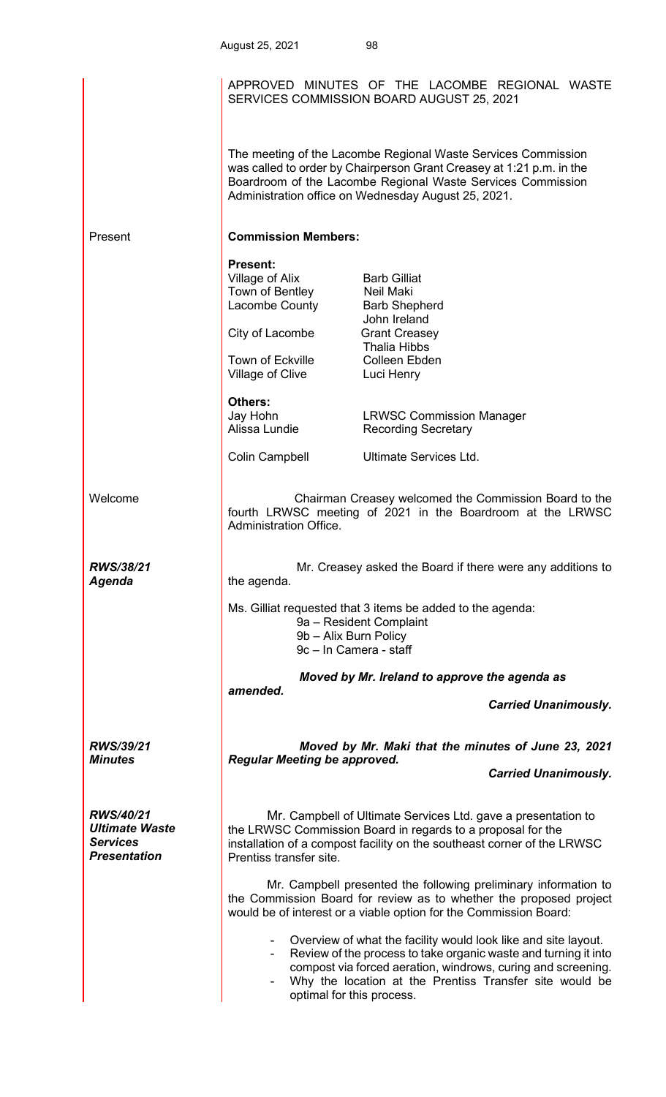| August 25, 2021 | 98 |
|-----------------|----|
|-----------------|----|

|                                                                                     |                                                                                                                                                                                                                                    | APPROVED MINUTES OF THE LACOMBE REGIONAL WASTE<br>SERVICES COMMISSION BOARD AUGUST 25, 2021                                                                                                                                                                  |  |
|-------------------------------------------------------------------------------------|------------------------------------------------------------------------------------------------------------------------------------------------------------------------------------------------------------------------------------|--------------------------------------------------------------------------------------------------------------------------------------------------------------------------------------------------------------------------------------------------------------|--|
|                                                                                     |                                                                                                                                                                                                                                    | The meeting of the Lacombe Regional Waste Services Commission<br>was called to order by Chairperson Grant Creasey at 1:21 p.m. in the<br>Boardroom of the Lacombe Regional Waste Services Commission<br>Administration office on Wednesday August 25, 2021.  |  |
| Present                                                                             | <b>Commission Members:</b>                                                                                                                                                                                                         |                                                                                                                                                                                                                                                              |  |
|                                                                                     | <b>Present:</b><br>Village of Alix<br>Town of Bentley<br>Lacombe County<br>City of Lacombe<br><b>Town of Eckville</b><br>Village of Clive<br><b>Others:</b><br>Jay Hohn<br>Alissa Lundie                                           | <b>Barb Gilliat</b><br>Neil Maki<br><b>Barb Shepherd</b><br>John Ireland<br><b>Grant Creasey</b><br><b>Thalia Hibbs</b><br><b>Colleen Ebden</b><br>Luci Henry<br><b>LRWSC Commission Manager</b><br><b>Recording Secretary</b>                               |  |
|                                                                                     | Colin Campbell                                                                                                                                                                                                                     | Ultimate Services Ltd.                                                                                                                                                                                                                                       |  |
| Welcome                                                                             | Administration Office.                                                                                                                                                                                                             | Chairman Creasey welcomed the Commission Board to the<br>fourth LRWSC meeting of 2021 in the Boardroom at the LRWSC                                                                                                                                          |  |
| <b>RWS/38/21</b><br>Agenda                                                          | Mr. Creasey asked the Board if there were any additions to<br>the agenda.                                                                                                                                                          |                                                                                                                                                                                                                                                              |  |
|                                                                                     | 9b - Alix Burn Policy<br>9c - In Camera - staff                                                                                                                                                                                    | Ms. Gilliat requested that 3 items be added to the agenda:<br>9a - Resident Complaint                                                                                                                                                                        |  |
|                                                                                     | amended.                                                                                                                                                                                                                           | Moved by Mr. Ireland to approve the agenda as                                                                                                                                                                                                                |  |
|                                                                                     |                                                                                                                                                                                                                                    | <b>Carried Unanimously.</b>                                                                                                                                                                                                                                  |  |
| RWS/39/21<br><b>Minutes</b>                                                         | Moved by Mr. Maki that the minutes of June 23, 2021<br><b>Regular Meeting be approved.</b>                                                                                                                                         |                                                                                                                                                                                                                                                              |  |
|                                                                                     |                                                                                                                                                                                                                                    | <b>Carried Unanimously.</b>                                                                                                                                                                                                                                  |  |
| <b>RWS/40/21</b><br><b>Ultimate Waste</b><br><b>Services</b><br><b>Presentation</b> | Mr. Campbell of Ultimate Services Ltd. gave a presentation to<br>the LRWSC Commission Board in regards to a proposal for the<br>installation of a compost facility on the southeast corner of the LRWSC<br>Prentiss transfer site. |                                                                                                                                                                                                                                                              |  |
|                                                                                     |                                                                                                                                                                                                                                    | Mr. Campbell presented the following preliminary information to<br>the Commission Board for review as to whether the proposed project<br>would be of interest or a viable option for the Commission Board:                                                   |  |
|                                                                                     | optimal for this process.                                                                                                                                                                                                          | Overview of what the facility would look like and site layout.<br>Review of the process to take organic waste and turning it into<br>compost via forced aeration, windrows, curing and screening.<br>Why the location at the Prentiss Transfer site would be |  |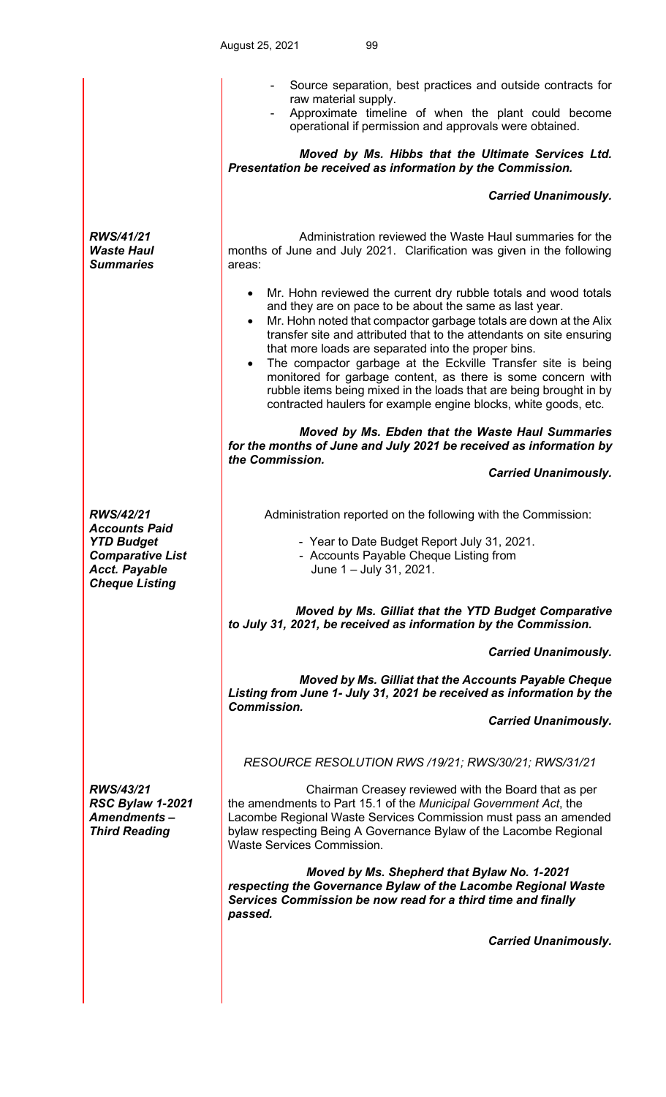|                                                                                                                                           | Source separation, best practices and outside contracts for<br>raw material supply.<br>Approximate timeline of when the plant could become<br>operational if permission and approvals were obtained.<br>Moved by Ms. Hibbs that the Ultimate Services Ltd.<br>Presentation be received as information by the Commission.                                                                                                                                                                                                                                                                                                          |
|-------------------------------------------------------------------------------------------------------------------------------------------|-----------------------------------------------------------------------------------------------------------------------------------------------------------------------------------------------------------------------------------------------------------------------------------------------------------------------------------------------------------------------------------------------------------------------------------------------------------------------------------------------------------------------------------------------------------------------------------------------------------------------------------|
|                                                                                                                                           | <b>Carried Unanimously.</b>                                                                                                                                                                                                                                                                                                                                                                                                                                                                                                                                                                                                       |
| <b>RWS/41/21</b><br><b>Waste Haul</b><br><b>Summaries</b>                                                                                 | Administration reviewed the Waste Haul summaries for the<br>months of June and July 2021. Clarification was given in the following<br>areas:                                                                                                                                                                                                                                                                                                                                                                                                                                                                                      |
|                                                                                                                                           | Mr. Hohn reviewed the current dry rubble totals and wood totals<br>$\bullet$<br>and they are on pace to be about the same as last year.<br>Mr. Hohn noted that compactor garbage totals are down at the Alix<br>$\bullet$<br>transfer site and attributed that to the attendants on site ensuring<br>that more loads are separated into the proper bins.<br>The compactor garbage at the Eckville Transfer site is being<br>monitored for garbage content, as there is some concern with<br>rubble items being mixed in the loads that are being brought in by<br>contracted haulers for example engine blocks, white goods, etc. |
|                                                                                                                                           | Moved by Ms. Ebden that the Waste Haul Summaries<br>for the months of June and July 2021 be received as information by<br>the Commission.                                                                                                                                                                                                                                                                                                                                                                                                                                                                                         |
|                                                                                                                                           | <b>Carried Unanimously.</b>                                                                                                                                                                                                                                                                                                                                                                                                                                                                                                                                                                                                       |
| <b>RWS/42/21</b><br><b>Accounts Paid</b><br><b>YTD Budget</b><br><b>Comparative List</b><br><b>Acct. Payable</b><br><b>Cheque Listing</b> | Administration reported on the following with the Commission:<br>- Year to Date Budget Report July 31, 2021.<br>- Accounts Payable Cheque Listing from<br>June 1 - July 31, 2021.                                                                                                                                                                                                                                                                                                                                                                                                                                                 |
|                                                                                                                                           | Moved by Ms. Gilliat that the YTD Budget Comparative<br>to July 31, 2021, be received as information by the Commission.                                                                                                                                                                                                                                                                                                                                                                                                                                                                                                           |
|                                                                                                                                           | <b>Carried Unanimously.</b>                                                                                                                                                                                                                                                                                                                                                                                                                                                                                                                                                                                                       |
|                                                                                                                                           | Moved by Ms. Gilliat that the Accounts Payable Cheque<br>Listing from June 1- July 31, 2021 be received as information by the<br><b>Commission.</b>                                                                                                                                                                                                                                                                                                                                                                                                                                                                               |
|                                                                                                                                           | <b>Carried Unanimously.</b>                                                                                                                                                                                                                                                                                                                                                                                                                                                                                                                                                                                                       |
|                                                                                                                                           | RESOURCE RESOLUTION RWS /19/21; RWS/30/21; RWS/31/21                                                                                                                                                                                                                                                                                                                                                                                                                                                                                                                                                                              |
| <b>RWS/43/21</b><br><b>RSC Bylaw 1-2021</b><br><b>Amendments-</b><br><b>Third Reading</b>                                                 | Chairman Creasey reviewed with the Board that as per<br>the amendments to Part 15.1 of the Municipal Government Act, the<br>Lacombe Regional Waste Services Commission must pass an amended<br>bylaw respecting Being A Governance Bylaw of the Lacombe Regional<br><b>Waste Services Commission.</b>                                                                                                                                                                                                                                                                                                                             |
|                                                                                                                                           | Moved by Ms. Shepherd that Bylaw No. 1-2021<br>respecting the Governance Bylaw of the Lacombe Regional Waste<br>Services Commission be now read for a third time and finally<br>passed.                                                                                                                                                                                                                                                                                                                                                                                                                                           |
|                                                                                                                                           | <b>Carried Unanimously.</b>                                                                                                                                                                                                                                                                                                                                                                                                                                                                                                                                                                                                       |
|                                                                                                                                           |                                                                                                                                                                                                                                                                                                                                                                                                                                                                                                                                                                                                                                   |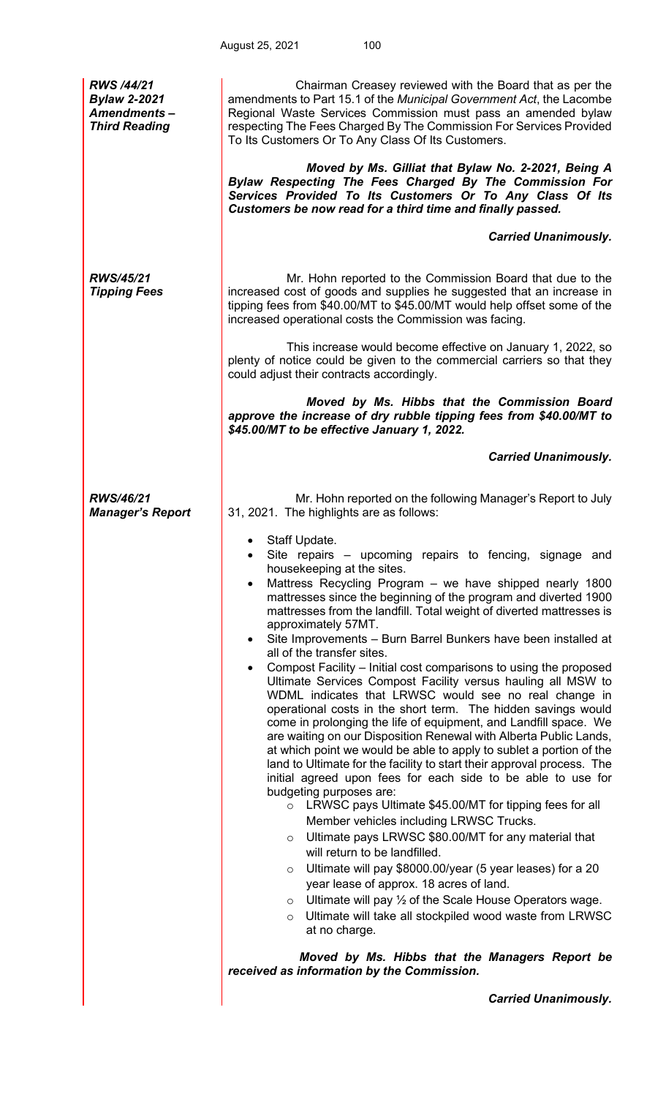| <b>RWS /44/21</b><br><b>Bylaw 2-2021</b><br><b>Amendments-</b><br><b>Third Reading</b> | Chairman Creasey reviewed with the Board that as per the<br>amendments to Part 15.1 of the Municipal Government Act, the Lacombe<br>Regional Waste Services Commission must pass an amended bylaw<br>respecting The Fees Charged By The Commission For Services Provided<br>To Its Customers Or To Any Class Of Its Customers.<br>Moved by Ms. Gilliat that Bylaw No. 2-2021, Being A<br>Bylaw Respecting The Fees Charged By The Commission For<br>Services Provided To Its Customers Or To Any Class Of Its<br>Customers be now read for a third time and finally passed.                                                                                                                                                                                                                                                                                                                                                                                                                                                                                                                                                                                                                                                                                                                                                                                                                                                                                                                                                                                                                                                                                                                    |
|----------------------------------------------------------------------------------------|------------------------------------------------------------------------------------------------------------------------------------------------------------------------------------------------------------------------------------------------------------------------------------------------------------------------------------------------------------------------------------------------------------------------------------------------------------------------------------------------------------------------------------------------------------------------------------------------------------------------------------------------------------------------------------------------------------------------------------------------------------------------------------------------------------------------------------------------------------------------------------------------------------------------------------------------------------------------------------------------------------------------------------------------------------------------------------------------------------------------------------------------------------------------------------------------------------------------------------------------------------------------------------------------------------------------------------------------------------------------------------------------------------------------------------------------------------------------------------------------------------------------------------------------------------------------------------------------------------------------------------------------------------------------------------------------|
|                                                                                        | <b>Carried Unanimously.</b>                                                                                                                                                                                                                                                                                                                                                                                                                                                                                                                                                                                                                                                                                                                                                                                                                                                                                                                                                                                                                                                                                                                                                                                                                                                                                                                                                                                                                                                                                                                                                                                                                                                                    |
| RWS/45/21<br><b>Tipping Fees</b>                                                       | Mr. Hohn reported to the Commission Board that due to the<br>increased cost of goods and supplies he suggested that an increase in<br>tipping fees from \$40.00/MT to \$45.00/MT would help offset some of the<br>increased operational costs the Commission was facing.                                                                                                                                                                                                                                                                                                                                                                                                                                                                                                                                                                                                                                                                                                                                                                                                                                                                                                                                                                                                                                                                                                                                                                                                                                                                                                                                                                                                                       |
|                                                                                        | This increase would become effective on January 1, 2022, so<br>plenty of notice could be given to the commercial carriers so that they<br>could adjust their contracts accordingly.                                                                                                                                                                                                                                                                                                                                                                                                                                                                                                                                                                                                                                                                                                                                                                                                                                                                                                                                                                                                                                                                                                                                                                                                                                                                                                                                                                                                                                                                                                            |
|                                                                                        | Moved by Ms. Hibbs that the Commission Board<br>approve the increase of dry rubble tipping fees from \$40.00/MT to<br>\$45.00/MT to be effective January 1, 2022.                                                                                                                                                                                                                                                                                                                                                                                                                                                                                                                                                                                                                                                                                                                                                                                                                                                                                                                                                                                                                                                                                                                                                                                                                                                                                                                                                                                                                                                                                                                              |
|                                                                                        | <b>Carried Unanimously.</b>                                                                                                                                                                                                                                                                                                                                                                                                                                                                                                                                                                                                                                                                                                                                                                                                                                                                                                                                                                                                                                                                                                                                                                                                                                                                                                                                                                                                                                                                                                                                                                                                                                                                    |
| RWS/46/21<br><b>Manager's Report</b>                                                   | Mr. Hohn reported on the following Manager's Report to July<br>31, 2021. The highlights are as follows:                                                                                                                                                                                                                                                                                                                                                                                                                                                                                                                                                                                                                                                                                                                                                                                                                                                                                                                                                                                                                                                                                                                                                                                                                                                                                                                                                                                                                                                                                                                                                                                        |
|                                                                                        | Staff Update.<br>Site repairs – upcoming repairs to fencing, signage and<br>housekeeping at the sites.<br>Mattress Recycling Program - we have shipped nearly 1800<br>mattresses since the beginning of the program and diverted 1900<br>mattresses from the landfill. Total weight of diverted mattresses is<br>approximately 57MT.<br>Site Improvements - Burn Barrel Bunkers have been installed at<br>all of the transfer sites.<br>Compost Facility - Initial cost comparisons to using the proposed<br>Ultimate Services Compost Facility versus hauling all MSW to<br>WDML indicates that LRWSC would see no real change in<br>operational costs in the short term. The hidden savings would<br>come in prolonging the life of equipment, and Landfill space. We<br>are waiting on our Disposition Renewal with Alberta Public Lands,<br>at which point we would be able to apply to sublet a portion of the<br>land to Ultimate for the facility to start their approval process. The<br>initial agreed upon fees for each side to be able to use for<br>budgeting purposes are:<br>LRWSC pays Ultimate \$45.00/MT for tipping fees for all<br>$\circ$<br>Member vehicles including LRWSC Trucks.<br>Ultimate pays LRWSC \$80.00/MT for any material that<br>$\circ$<br>will return to be landfilled.<br>Ultimate will pay \$8000.00/year (5 year leases) for a 20<br>$\circ$<br>year lease of approx. 18 acres of land.<br>Ultimate will pay 1/2 of the Scale House Operators wage.<br>$\circ$<br>Ultimate will take all stockpiled wood waste from LRWSC<br>$\circ$<br>at no charge.<br>Moved by Ms. Hibbs that the Managers Report be<br>received as information by the Commission. |